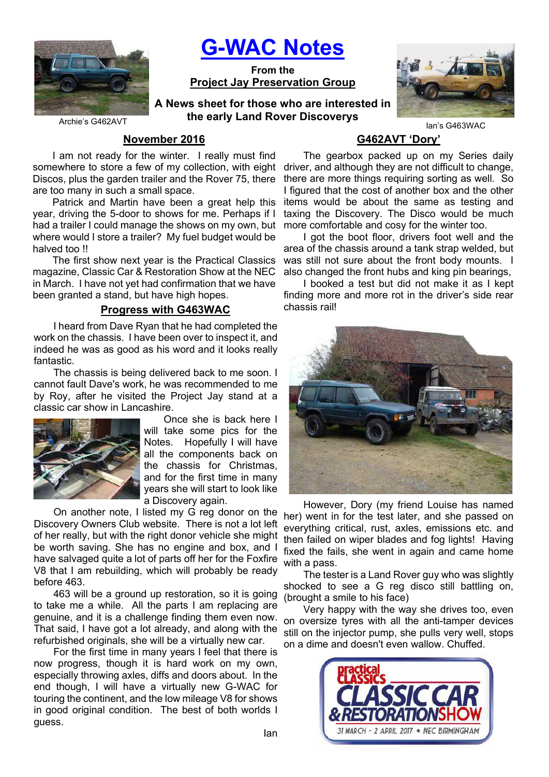

G-WAC Notes

From the Project Jay Preservation Group

A News sheet for those who are interested in the early Land Rover Discoverys



Archie's G462AVT

### November 2016

I am not ready for the winter. I really must find somewhere to store a few of my collection, with eight Discos, plus the garden trailer and the Rover 75, there are too many in such a small space.

Patrick and Martin have been a great help this year, driving the 5-door to shows for me. Perhaps if I had a trailer I could manage the shows on my own, but where would I store a trailer? My fuel budget would be halved too !!

The first show next year is the Practical Classics magazine, Classic Car & Restoration Show at the NEC in March. I have not yet had confirmation that we have been granted a stand, but have high hopes.

## Progress with G463WAC

I heard from Dave Ryan that he had completed the work on the chassis. I have been over to inspect it, and indeed he was as good as his word and it looks really fantastic.

The chassis is being delivered back to me soon. I cannot fault Dave's work, he was recommended to me by Roy, after he visited the Project Jay stand at a classic car show in Lancashire.



Once she is back here I will take some pics for the Notes. Hopefully I will have all the components back on the chassis for Christmas, and for the first time in many years she will start to look like a Discovery again.

On another note, I listed my G reg donor on the Discovery Owners Club website. There is not a lot left of her really, but with the right donor vehicle she might be worth saving. She has no engine and box, and I have salvaged quite a lot of parts off her for the Foxfire V8 that I am rebuilding, which will probably be ready before 463.

463 will be a ground up restoration, so it is going to take me a while. All the parts I am replacing are genuine, and it is a challenge finding them even now. That said, I have got a lot already, and along with the refurbished originals, she will be a virtually new car.

For the first time in many years I feel that there is now progress, though it is hard work on my own, especially throwing axles, diffs and doors about. In the end though, I will have a virtually new G-WAC for touring the continent, and the low mileage V8 for shows in good original condition. The best of both worlds I guess.

# G462AVT 'Dory'

The gearbox packed up on my Series daily driver, and although they are not difficult to change, there are more things requiring sorting as well. So I figured that the cost of another box and the other items would be about the same as testing and taxing the Discovery. The Disco would be much more comfortable and cosy for the winter too.

I got the boot floor, drivers foot well and the area of the chassis around a tank strap welded, but was still not sure about the front body mounts. I also changed the front hubs and king pin bearings,

I booked a test but did not make it as I kept finding more and more rot in the driver's side rear chassis rail!



However, Dory (my friend Louise has named her) went in for the test later, and she passed on everything critical, rust, axles, emissions etc. and then failed on wiper blades and fog lights! Having fixed the fails, she went in again and came home with a pass.

The tester is a Land Rover guy who was slightly shocked to see a G reg disco still battling on, (brought a smile to his face)

Very happy with the way she drives too, even on oversize tyres with all the anti-tamper devices still on the injector pump, she pulls very well, stops on a dime and doesn't even wallow. Chuffed.

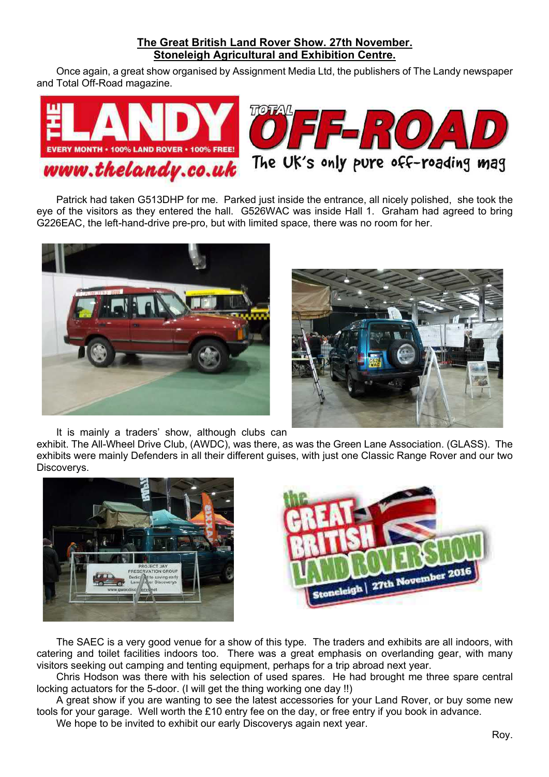## The Great British Land Rover Show. 27th November. Stoneleigh Agricultural and Exhibition Centre.

Once again, a great show organised by Assignment Media Ltd, the publishers of The Landy newspaper and Total Off-Road magazine.



Patrick had taken G513DHP for me. Parked just inside the entrance, all nicely polished, she took the eye of the visitors as they entered the hall. G526WAC was inside Hall 1. Graham had agreed to bring G226EAC, the left-hand-drive pre-pro, but with limited space, there was no room for her.





It is mainly a traders' show, although clubs can

exhibit. The All-Wheel Drive Club, (AWDC), was there, as was the Green Lane Association. (GLASS). The exhibits were mainly Defenders in all their different guises, with just one Classic Range Rover and our two Discoverys.





The SAEC is a very good venue for a show of this type. The traders and exhibits are all indoors, with catering and toilet facilities indoors too. There was a great emphasis on overlanding gear, with many visitors seeking out camping and tenting equipment, perhaps for a trip abroad next year.

Chris Hodson was there with his selection of used spares. He had brought me three spare central locking actuators for the 5-door. (I will get the thing working one day !!)

A great show if you are wanting to see the latest accessories for your Land Rover, or buy some new tools for your garage. Well worth the £10 entry fee on the day, or free entry if you book in advance. We hope to be invited to exhibit our early Discoverys again next year.

Roy.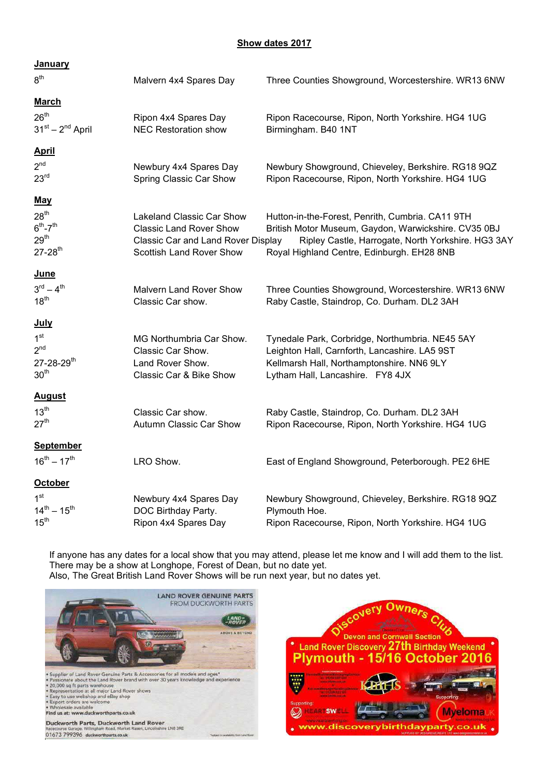### Show dates 2017

| <b>January</b>                                                                         |                                                                                                                               |                                                                                                                                                                                                              |
|----------------------------------------------------------------------------------------|-------------------------------------------------------------------------------------------------------------------------------|--------------------------------------------------------------------------------------------------------------------------------------------------------------------------------------------------------------|
| 8 <sup>th</sup>                                                                        | Malvern 4x4 Spares Day                                                                                                        | Three Counties Showground, Worcestershire. WR13 6NW                                                                                                                                                          |
| <b>March</b>                                                                           |                                                                                                                               |                                                                                                                                                                                                              |
| 26 <sup>th</sup><br>$31st - 2nd$ April                                                 | Ripon 4x4 Spares Day<br><b>NEC Restoration show</b>                                                                           | Ripon Racecourse, Ripon, North Yorkshire. HG4 1UG<br>Birmingham. B40 1NT                                                                                                                                     |
| <b>April</b>                                                                           |                                                                                                                               |                                                                                                                                                                                                              |
| 2 <sup>nd</sup><br>23 <sup>rd</sup>                                                    | Newbury 4x4 Spares Day<br>Spring Classic Car Show                                                                             | Newbury Showground, Chieveley, Berkshire. RG18 9QZ<br>Ripon Racecourse, Ripon, North Yorkshire. HG4 1UG                                                                                                      |
| <u>May</u>                                                                             |                                                                                                                               |                                                                                                                                                                                                              |
| 28 <sup>th</sup><br>$6th - 7th$<br>29 <sup>th</sup><br>$27 - 28$ <sup>th</sup>         | Lakeland Classic Car Show<br><b>Classic Land Rover Show</b><br>Classic Car and Land Rover Display<br>Scottish Land Rover Show | Hutton-in-the-Forest, Penrith, Cumbria. CA11 9TH<br>British Motor Museum, Gaydon, Warwickshire. CV35 0BJ<br>Ripley Castle, Harrogate, North Yorkshire. HG3 3AY<br>Royal Highland Centre, Edinburgh. EH28 8NB |
| June                                                                                   |                                                                                                                               |                                                                                                                                                                                                              |
| $3^{rd} - 4^{th}$<br>18 <sup>th</sup>                                                  | <b>Malvern Land Rover Show</b><br>Classic Car show.                                                                           | Three Counties Showground, Worcestershire. WR13 6NW<br>Raby Castle, Staindrop, Co. Durham. DL2 3AH                                                                                                           |
| <u>July</u>                                                                            |                                                                                                                               |                                                                                                                                                                                                              |
| 1 <sup>st</sup><br>2 <sup>nd</sup><br>$27 - 28 - 29$ <sup>th</sup><br>30 <sup>th</sup> | MG Northumbria Car Show.<br>Classic Car Show.<br>Land Rover Show.<br>Classic Car & Bike Show                                  | Tynedale Park, Corbridge, Northumbria. NE45 5AY<br>Leighton Hall, Carnforth, Lancashire. LA5 9ST<br>Kellmarsh Hall, Northamptonshire. NN6 9LY<br>Lytham Hall, Lancashire. FY8 4JX                            |
| <b>August</b>                                                                          |                                                                                                                               |                                                                                                                                                                                                              |
| 13 <sup>th</sup><br>27 <sup>th</sup>                                                   | Classic Car show.<br>Autumn Classic Car Show                                                                                  | Raby Castle, Staindrop, Co. Durham. DL2 3AH<br>Ripon Racecourse, Ripon, North Yorkshire. HG4 1UG                                                                                                             |
| <b>September</b>                                                                       |                                                                                                                               |                                                                                                                                                                                                              |
| $16^{th} - 17^{th}$                                                                    | LRO Show.                                                                                                                     | East of England Showground, Peterborough. PE2 6HE                                                                                                                                                            |
| <b>October</b>                                                                         |                                                                                                                               |                                                                                                                                                                                                              |
| 1 <sup>st</sup><br>$14^{th} - 15^{th}$<br>15 <sup>th</sup>                             | Newbury 4x4 Spares Day<br>DOC Birthday Party.<br>Ripon 4x4 Spares Day                                                         | Newbury Showground, Chieveley, Berkshire. RG18 9QZ<br>Plymouth Hoe.<br>Ripon Racecourse, Ripon, North Yorkshire. HG4 1UG                                                                                     |

 If anyone has any dates for a local show that you may attend, please let me know and I will add them to the list. There may be a show at Longhope, Forest of Dean, but no date yet. Also, The Great British Land Rover Shows will be run next year, but no dates yet.